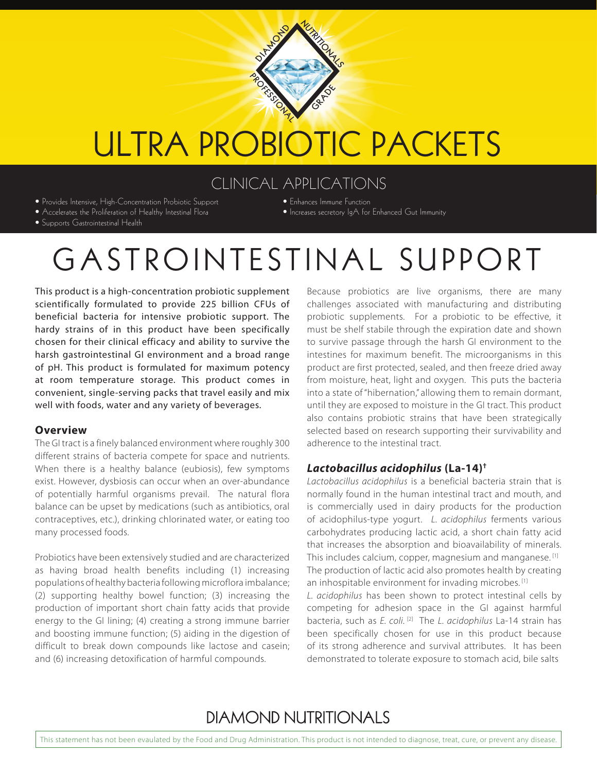

# ULTRA PROBIOTIC PACKETS

### CLINICAL APPLICATIONS

- Provides Intensive, High-Concentration Probiotic Support • Accelerates the Proliferation of Healthy Intestinal Flora
- Enhances Immune Function
- Increases secretory IgA for Enhanced Gut Immunity

• Supports Gastrointestinal Health

# GASTROINTESTINAL SUPPORT

This product is a high-concentration probiotic supplement scientifically formulated to provide 225 billion CFUs of beneficial bacteria for intensive probiotic support. The hardy strains of in this product have been specifically chosen for their clinical efficacy and ability to survive the harsh gastrointestinal GI environment and a broad range of pH. This product is formulated for maximum potency at room temperature storage. This product comes in convenient, single-serving packs that travel easily and mix well with foods, water and any variety of beverages.

#### **Overview**

The GI tract is a finely balanced environment where roughly 300 different strains of bacteria compete for space and nutrients. When there is a healthy balance (eubiosis), few symptoms exist. However, dysbiosis can occur when an over-abundance of potentially harmful organisms prevail. The natural flora balance can be upset by medications (such as antibiotics, oral contraceptives, etc.), drinking chlorinated water, or eating too many processed foods.

Probiotics have been extensively studied and are characterized as having broad health benefits including (1) increasing populations of healthy bacteria following microflora imbalance; (2) supporting healthy bowel function; (3) increasing the production of important short chain fatty acids that provide energy to the GI lining; (4) creating a strong immune barrier and boosting immune function; (5) aiding in the digestion of difficult to break down compounds like lactose and casein; and (6) increasing detoxification of harmful compounds.

Because probiotics are live organisms, there are many challenges associated with manufacturing and distributing probiotic supplements. For a probiotic to be effective, it must be shelf stabile through the expiration date and shown to survive passage through the harsh GI environment to the intestines for maximum benefit. The microorganisms in this product are first protected, sealed, and then freeze dried away from moisture, heat, light and oxygen. This puts the bacteria into a state of "hibernation," allowing them to remain dormant, until they are exposed to moisture in the GI tract. This product also contains probiotic strains that have been strategically selected based on research supporting their survivability and adherence to the intestinal tract.

#### *Lactobacillus acidophilus* **(La-14)†**

*Lactobacillus acidophilus* is a beneficial bacteria strain that is normally found in the human intestinal tract and mouth, and is commercially used in dairy products for the production of acidophilus-type yogurt. *L. acidophilus* ferments various carbohydrates producing lactic acid, a short chain fatty acid that increases the absorption and bioavailability of minerals. This includes calcium, copper, magnesium and manganese.<sup>[1]</sup> The production of lactic acid also promotes health by creating an inhospitable environment for invading microbes.<sup>[1]</sup>

*L. acidophilus* has been shown to protect intestinal cells by competing for adhesion space in the GI against harmful bacteria, such as *E. coli.* <sup>[2]</sup> The *L. acidophilus* La-14 strain has been specifically chosen for use in this product because of its strong adherence and survival attributes. It has been demonstrated to tolerate exposure to stomach acid, bile salts

# **DIAMOND NUTRITIONALS**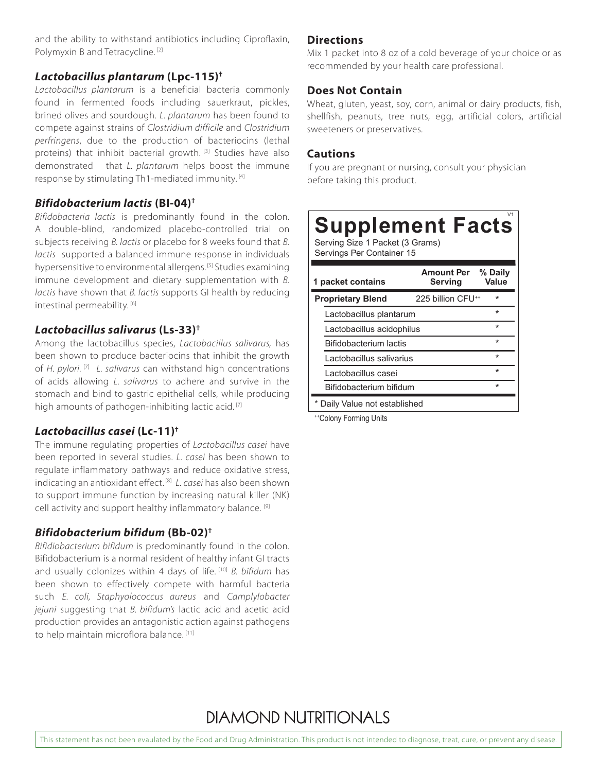and the ability to withstand antibiotics including Ciproflaxin, Polymyxin B and Tetracycline. [2]

#### *Lactobacillus plantarum* **(Lpc-115)†**

*Lactobacillus plantarum* is a beneficial bacteria commonly found in fermented foods including sauerkraut, pickles, brined olives and sourdough. *L. plantarum* has been found to compete against strains of *Clostridium difficile* and *Clostridium perfringens*, due to the production of bacteriocins (lethal proteins) that inhibit bacterial growth. [3] Studies have also demonstrated that *L. plantarum* helps boost the immune response by stimulating Th1-mediated immunity. [4]

#### *Bifidobacterium lactis* **(BI-04)†**

*Bifidobacteria lactis* is predominantly found in the colon. A double-blind, randomized placebo-controlled trial on subjects receiving *B. lactis* or placebo for 8 weeks found that *B. lactis* supported a balanced immune response in individuals hypersensitive to environmental allergens. [5] Studies examining immune development and dietary supplementation with *B. lactis* have shown that *B. lactis* supports GI health by reducing intestinal permeability. [6]

#### *Lactobacillus salivarus* **(Ls-33)†**

Among the lactobacillus species, *Lactobacillus salivarus,* has been shown to produce bacteriocins that inhibit the growth of *H. pylori.* [7] *L. salivarus* can withstand high concentrations of acids allowing *L. salivarus* to adhere and survive in the stomach and bind to gastric epithelial cells, while producing high amounts of pathogen-inhibiting lactic acid.<sup>[7]</sup>

#### *Lactobacillus casei* **(Lc-11)†**

The immune regulating properties of *Lactobacillus casei* have been reported in several studies. *L. casei* has been shown to regulate inflammatory pathways and reduce oxidative stress, indicating an antioxidant effect. [8] *L. casei* has also been shown to support immune function by increasing natural killer (NK) cell activity and support healthy inflammatory balance. [9]

#### *Bifidobacterium bifidum* **(Bb-02)†**

*Bifidiobacterium bifidum* is predominantly found in the colon. Bifidobacterium is a normal resident of healthy infant GI tracts and usually colonizes within 4 days of life. [10] *B. bifidum* has been shown to effectively compete with harmful bacteria such *E. coli, Staphyolococcus aureus* and *Camplylobacter jejuni* suggesting that *B. bifidum's* lactic acid and acetic acid production provides an antagonistic action against pathogens to help maintain microflora balance. [11]

#### **Directions**

Mix 1 packet into 8 oz of a cold beverage of your choice or as recommended by your health care professional.

#### **Does Not Contain**

Wheat, gluten, yeast, soy, corn, animal or dairy products, fish, shellfish, peanuts, tree nuts, egg, artificial colors, artificial sweeteners or preservatives.

#### **Cautions**

If you are pregnant or nursing, consult your physician before taking this product.

# Supplement Facts

Serving Size 1 Packet (3 Grams) Servings Per Container 15

| 1 packet contains             | <b>Amount Per</b><br>Serving  | % Daily<br>Value |
|-------------------------------|-------------------------------|------------------|
| <b>Proprietary Blend</b>      | 225 billion CFU <sup>++</sup> | $\star$          |
| Lactobacillus plantarum       |                               | $\star$          |
| Lactobacillus acidophilus     |                               | $\star$          |
| <b>Bifidobacterium lactis</b> |                               | $\star$          |
| Lactobacillus salivarius      |                               | $\star$          |
| Lactobacillus casei           |                               | $\star$          |
| Bifidobacterium bifidum       |                               | $\star$          |
| Daily Value not established   |                               |                  |

++Colony Forming Units

### **DIAMOND NUTRITIONALS**